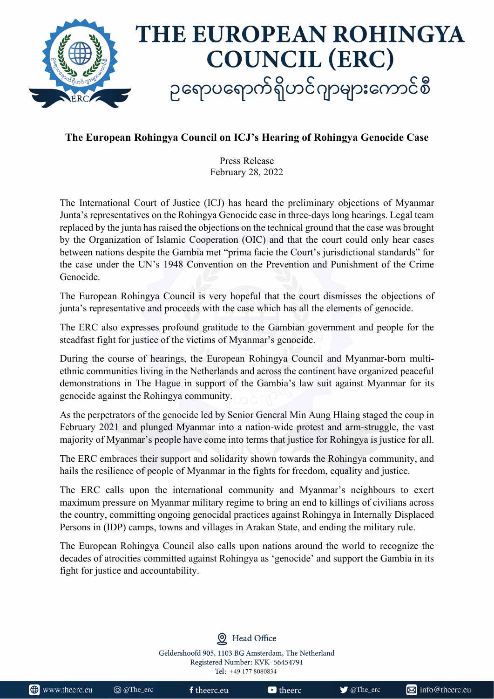

## **The European Rohingya Council on ICJ's Hearing of Rohingya Genocide Case**

Press Release February 28, 2022

The International Court of Justice (ICJ) has heard the preliminary objections of Myanmar Junta's representatives on the Rohingya Genocide case in three-days long hearings. Legal team replaced by the junta has raised the objections on the technical ground that the case was brought by the Organization of Islamic Cooperation (OIC) and that the court could only hear cases between nations despite the Gambia met "prima facie the Court's jurisdictional standards" for the case under the UN's 1948 Convention on the Prevention and Punishment of the Crime Genocide.

The European Rohingya Council is very hopeful that the court dismisses the objections of junta's representative and proceeds with the case which has all the elements of genocide.

The ERC also expresses profound gratitude to the Gambian government and people for the steadfast fight for justice of the victims of Myanmar's genocide.

During the course of hearings, the European Rohingya Council and Myanmar-born multiethnic communities living in the Netherlands and across the continent have organized peaceful demonstrations in The Hague in support of the Gambia's law suit against Myanmar for its genocide against the Rohingya community.

As the perpetrators of the genocide led by Senior General Min Aung Hlaing staged the coup in February 2021 and plunged Myanmar into a nation-wide protest and arm-struggle, the vast majority of Myanmar's people have come into terms that justice for Rohingya is justice for all.

The ERC embraces their support and solidarity shown towards the Rohingya community, and hails the resilience of people of Myanmar in the fights for freedom, equality and justice.

The ERC calls upon the international community and Myanmar's neighbours to exert maximum pressure on Myanmar military regime to bring an end to killings of civilians across the country, committing ongoing genocidal practices against Rohingya in Internally Displaced Persons in (IDP) camps, towns and villages in Arakan State, and ending the military rule.

The European Rohingya Council also calls upon nations around the world to recognize the decades of atrocities committed against Rohingya as 'genocide' and support the Gambia in its fight for justice and accountability.

> Geldershoofd 905, 1103 BG Amsterdam, The Netherland Registered Number: KVK-56454791 Tel: +49 177 8080834

Head Office

| www.theerc.eu | © @The_erc | $\mathsf{f}$ theerc.eu | <b>D</b> theerc. | $\blacktriangleright$ @The_er |
|---------------|------------|------------------------|------------------|-------------------------------|
|               |            |                        |                  |                               |